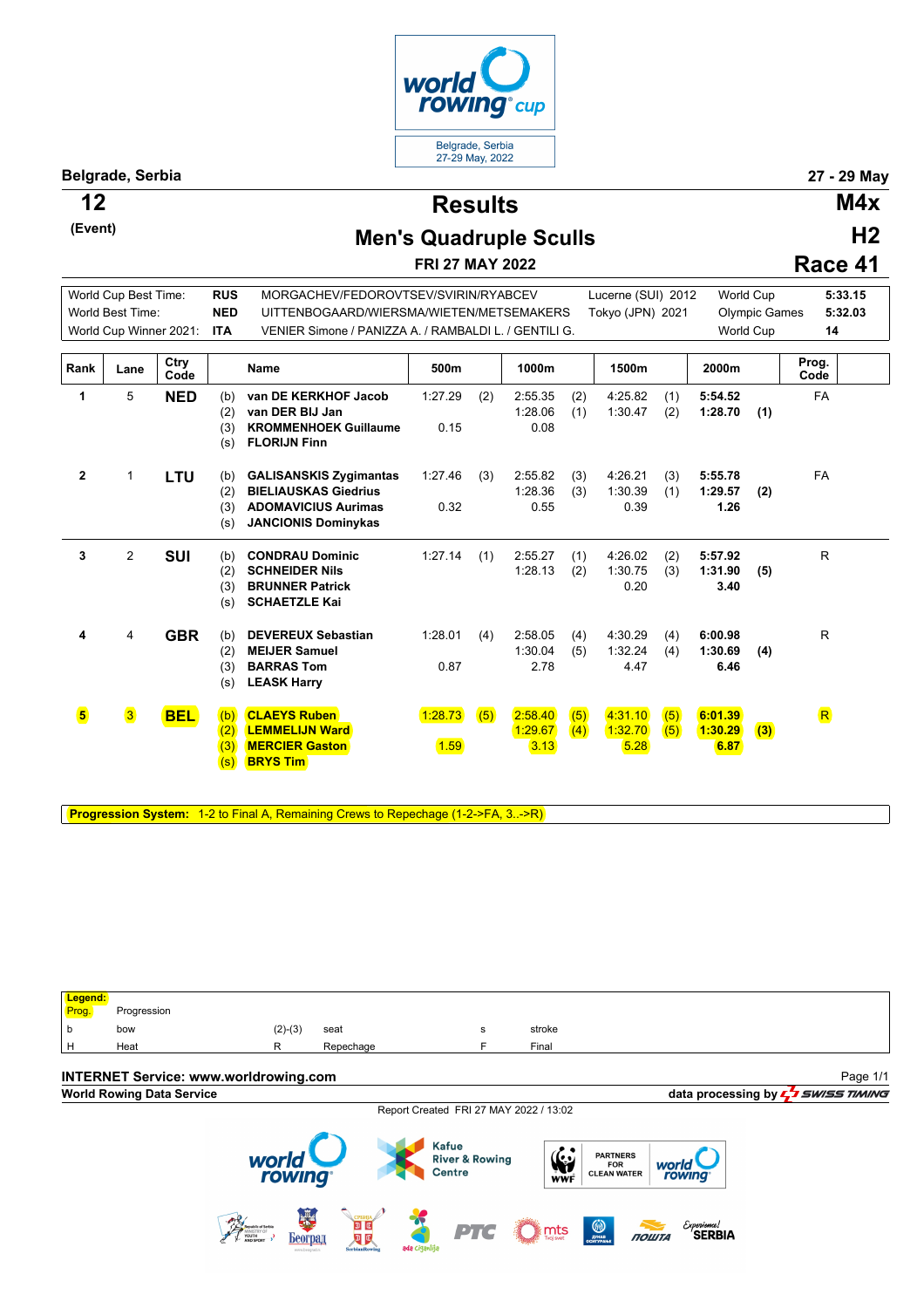

**Belgrade, Serbia 27 - 29 May**

**(Event)**

**Results 12 M4x**

## **Men's Quadruple Sculls**

**FRI 27 MAY 2022**

**H2 Race 41**

R

R

World Cup Best Time: **RUS** MORGACHEV/FEDOROVTSEV/SVIRIN/RYABCEV Lucerne (SUI) 2012 World Cup **5:33.15** World Best Time: **NED** UITTENBOGAARD/WIERSMA/WIETEN/METSEMAKERS Tokyo (JPN) 2021 Olympic Games **5:32.03** World Cup Winner 2021: **ITA** VENIER Simone / PANIZZA A. / RAMBALDI L. / GENTILI G. World Cup **14 Rank Lane Ctry Code Code Name 500m 1000m 1500m 2000m Prog.** Prog.<br>Code **1** 5 **NED** (b) (2) (3) (s) **van DE KERKHOF Jacob van DER BIJ Jan KROMMENHOEK Guillaume FLORIJN Finn** 1:27.29 (2) 2:55.35 (2) 4:25.82 (1) **5:54.52** 1:28.06 (1) 1:30.47 (2) **1:28.70 (1)** 0.15 0.08 FA **2** 1 **LTU** (b) (2) (3) (s) **GALISANSKIS Zygimantas BIELIAUSKAS Giedrius ADOMAVICIUS Aurimas JANCIONIS Dominykas** 1:27.46 (3) 2:55.82 (3) 4:26.21 (3) **5:55.78** 1:28.36 (3) 1:30.39 (1) **1:29.57 (2)** 0.32 0.55 0.39 **1.26** FA **3** 2 **SUI** (b) (2) **CONDRAU Dominic SCHNEIDER Nils** 1:27.14 (1) 2:55.27 (1) 4:26.02 (2) **5:57.92** 1:28.13 (2) 1:30.75 (3) **1:31.90 (5)** R

0.20 **3.40**

1:30.04 (5) 1:32.24 (4) **1:30.69 (4)**

1:29.67 (4) 1:32.70 (5) **1:30.29 (3)**

1:28.01 (4) 2:58.05 (4) 4:30.29 (4) **6:00.98**

0.87 2.78 4.47 **6.46**

1:28.73 (5) 2:58.40 (5) 4:31.10 (5) **6:01.39**

1.59 3.13 5.28 **6.87**

**Progression System:** 1-2 to Final A, Remaining Crews to Repechage (1-2->FA, 3..->R)

**BRUNNER Patrick SCHAETZLE Kai**

**CLAEYS Ruben LEMMELIJN Ward MERCIER Gaston BRYS Tim**

**DEVEREUX Sebastian MEIJER Samuel BARRAS Tom LEASK Harry**

(3)  $(s)$ 

(2) (3) (s)

 $(2)$  $(3)$  $(s)$ 

**4** 4 **GBR** (b)

**5** 3 **BEL** (b)

**Legend:** Progression b bow (2)-(3) seat <sup>s</sup> stroke Heat R Repechage F Final **INTERNET Service: www.worldrowing.com** Page 1/1**World Rowing Data Service data processing by**  Report Created FRI 27 MAY 2022 / 13:02 **Kafue** PARTNERS<br>FOR<br>CLEAN WATER  $\sum_{\text{WWF}}$ **River & Rowing** world<br>rowing

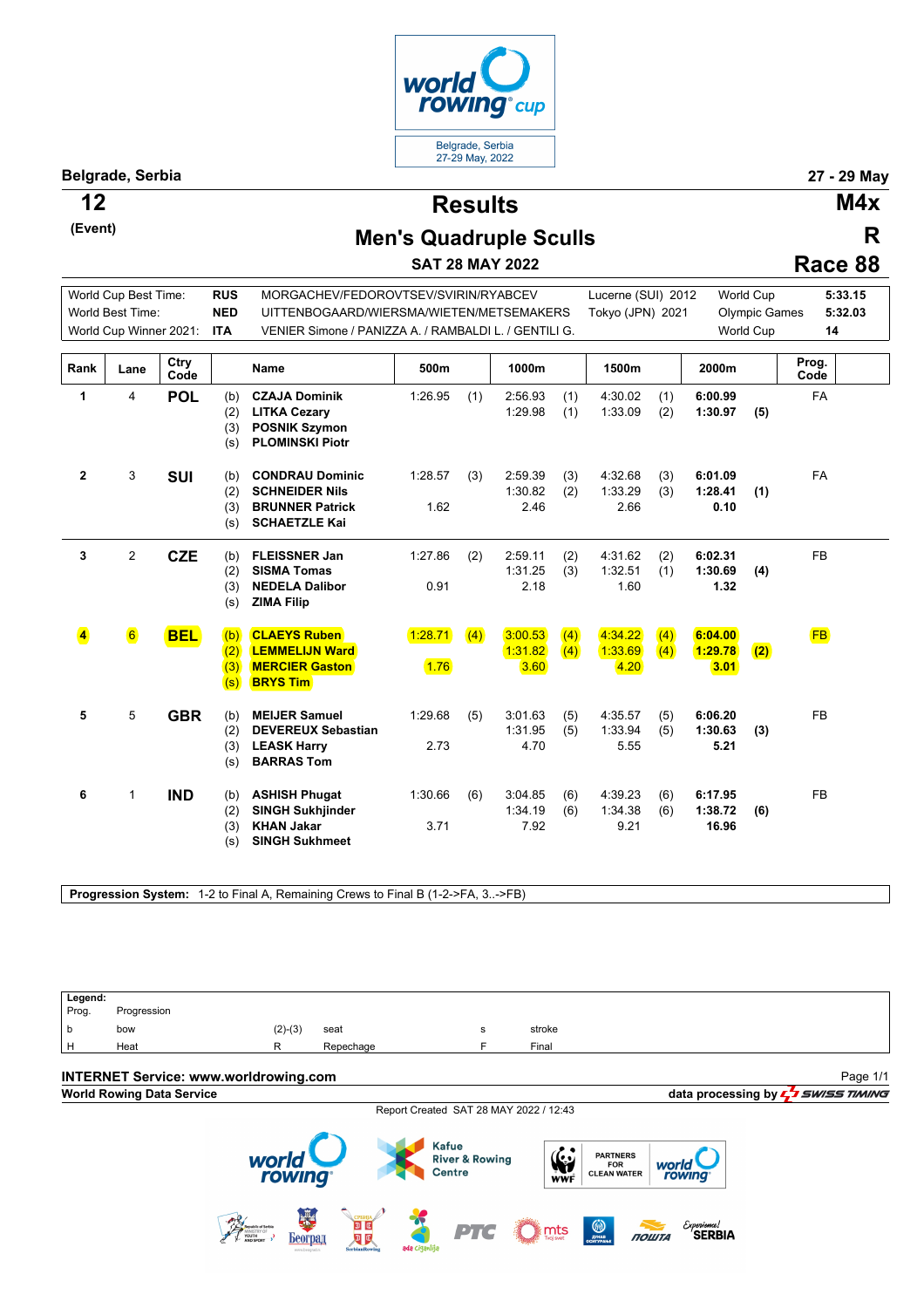

**Belgrade, Serbia 27 - 29 May**

**(Event)**

**Results 12 M4x**

**R**

## **Men's Quadruple Sculls**

**SAT 28 MAY 2022**

| Race 88 |  |
|---------|--|
|         |  |

|                         | World Cup Best Time:   |              | <b>RUS</b>               | MORGACHEV/FEDOROVTSEV/SVIRIN/RYABCEV                                                              |                 |     |                            |            | Lucerne (SUI) 2012         |            |                             | <b>World Cup</b>     | 5:33.15       |
|-------------------------|------------------------|--------------|--------------------------|---------------------------------------------------------------------------------------------------|-----------------|-----|----------------------------|------------|----------------------------|------------|-----------------------------|----------------------|---------------|
|                         | World Best Time:       |              | <b>NED</b>               | UITTENBOGAARD/WIERSMA/WIETEN/METSEMAKERS                                                          |                 |     |                            |            | Tokyo (JPN) 2021           |            |                             | <b>Olympic Games</b> | 5:32.03       |
|                         | World Cup Winner 2021: |              | <b>ITA</b>               | VENIER Simone / PANIZZA A. / RAMBALDI L. / GENTILI G.                                             |                 |     |                            |            |                            |            | <b>World Cup</b>            |                      | 14            |
|                         |                        |              |                          |                                                                                                   |                 |     |                            |            |                            |            |                             |                      |               |
| Rank                    | Lane                   | Ctry<br>Code |                          | <b>Name</b>                                                                                       | 500m            |     | 1000m                      |            | 1500m                      |            | 2000m                       |                      | Prog.<br>Code |
| 1                       | 4                      | <b>POL</b>   | (b)<br>(2)<br>(3)<br>(s) | <b>CZAJA Dominik</b><br><b>LITKA Cezary</b><br><b>POSNIK Szymon</b><br><b>PLOMINSKI Piotr</b>     | 1:26.95         | (1) | 2:56.93<br>1:29.98         | (1)<br>(1) | 4:30.02<br>1:33.09         | (1)<br>(2) | 6:00.99<br>1:30.97          | (5)                  | <b>FA</b>     |
| $\mathbf{2}$            | 3                      | <b>SUI</b>   | (b)<br>(2)<br>(3)<br>(s) | <b>CONDRAU Dominic</b><br><b>SCHNEIDER Nils</b><br><b>BRUNNER Patrick</b><br><b>SCHAETZLE Kai</b> | 1:28.57<br>1.62 | (3) | 2:59.39<br>1:30.82<br>2.46 | (3)<br>(2) | 4:32.68<br>1:33.29<br>2.66 | (3)<br>(3) | 6:01.09<br>1:28.41<br>0.10  | (1)                  | <b>FA</b>     |
| 3                       | $\overline{2}$         | <b>CZE</b>   | (b)<br>(2)<br>(3)<br>(s) | <b>FLEISSNER Jan</b><br><b>SISMA Tomas</b><br><b>NEDELA Dalibor</b><br><b>ZIMA Filip</b>          | 1:27.86<br>0.91 | (2) | 2:59.11<br>1:31.25<br>2.18 | (2)<br>(3) | 4:31.62<br>1:32.51<br>1.60 | (2)<br>(1) | 6:02.31<br>1:30.69<br>1.32  | (4)                  | <b>FB</b>     |
| $\overline{\mathbf{4}}$ | $\vert 6 \vert$        | <b>BEL</b>   | (b)<br>(2)<br>(3)<br>(s) | <b>CLAEYS Ruben</b><br><b>LEMMELIJN Ward</b><br><b>MERCIER Gaston</b><br><b>BRYS Tim</b>          | 1:28.71<br>1.76 | (4) | 3:00.53<br>1:31.82<br>3.60 | (4)<br>(4) | 4:34.22<br>1:33.69<br>4.20 | (4)<br>(4) | 6:04.00<br>1:29.78<br>3.01  | (2)                  | <b>FB</b>     |
| 5                       | 5                      | <b>GBR</b>   | (b)<br>(2)<br>(3)<br>(s) | <b>MEIJER Samuel</b><br><b>DEVEREUX Sebastian</b><br><b>LEASK Harry</b><br><b>BARRAS Tom</b>      | 1:29.68<br>2.73 | (5) | 3:01.63<br>1:31.95<br>4.70 | (5)<br>(5) | 4:35.57<br>1:33.94<br>5.55 | (5)<br>(5) | 6:06.20<br>1:30.63<br>5.21  | (3)                  | <b>FB</b>     |
| 6                       | $\mathbf{1}$           | <b>IND</b>   | (b)<br>(2)<br>(3)<br>(s) | <b>ASHISH Phugat</b><br><b>SINGH Sukhjinder</b><br><b>KHAN Jakar</b><br><b>SINGH Sukhmeet</b>     | 1:30.66<br>3.71 | (6) | 3:04.85<br>1:34.19<br>7.92 | (6)<br>(6) | 4:39.23<br>1:34.38<br>9.21 | (6)<br>(6) | 6:17.95<br>1:38.72<br>16.96 | (6)                  | <b>FB</b>     |

**Progression System:** 1-2 to Final A, Remaining Crews to Final B (1-2->FA, 3..->FB)

Legend:<br>Prog. Progression b bow (2)-(3) seat <sup>s</sup> stroke Heat **R** Repechage **F** Final **INTERNET Service: www.worldrowing.com** Page 1/1**World Rowing Data Service data processing by**  $\frac{1}{2}$  **SWISS TIMING** Report Created SAT 28 MAY 2022 / 12:43 Kafue  $\frac{1}{\sqrt{N}}$ PARTNERS<br>FOR<br>CLEAN WATER world **River & Rowing** world<br>rowing Centre rowing Bearing Bearing Experience!<br>**SERBIA ROWTA** PTG  $\sum_{\text{noise}}$  $\bigcirc$